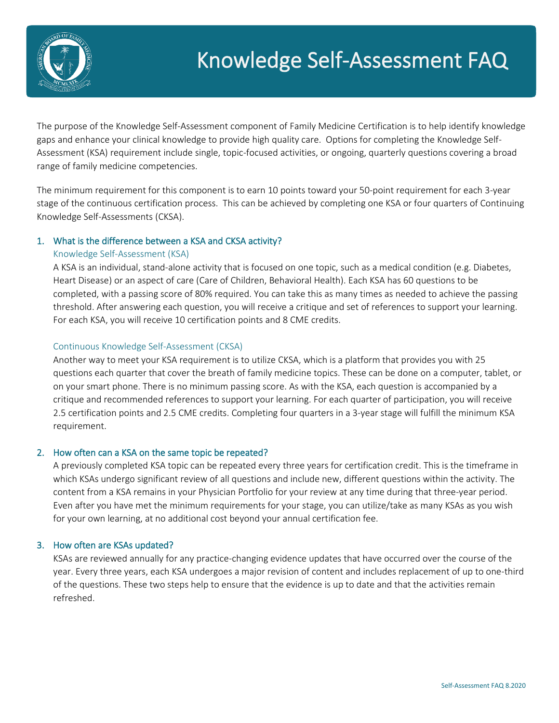

# Knowledge Self-Assessment FAQ

The purpose of the Knowledge Self-Assessment component of Family Medicine Certification is to help identify knowledge gaps and enhance your clinical knowledge to provide high quality care. Options for completing the Knowledge Self-Assessment (KSA) requirement include single, topic-focused activities, or ongoing, quarterly questions covering a broad range of family medicine competencies.

The minimum requirement for this component is to earn 10 points toward your 50-point requirement for each 3-year stage of the continuous certification process. This can be achieved by completing one KSA or four quarters of Continuing Knowledge Self-Assessments (CKSA).

# 1. What is the difference between a KSA and CKSA activity?

# Knowledge Self-Assessment (KSA)

A KSA is an individual, stand-alone activity that is focused on one topic, such as a medical condition (e.g. Diabetes, Heart Disease) or an aspect of care (Care of Children, Behavioral Health). Each KSA has 60 questions to be completed, with a passing score of 80% required. You can take this as many times as needed to achieve the passing threshold. After answering each question, you will receive a critique and set of references to support your learning. For each KSA, you will receive 10 certification points and 8 CME credits.

# Continuous Knowledge Self-Assessment (CKSA)

Another way to meet your KSA requirement is to utilize CKSA, which is a platform that provides you with 25 questions each quarter that cover the breath of family medicine topics. These can be done on a computer, tablet, or on your smart phone. There is no minimum passing score. As with the KSA, each question is accompanied by a critique and recommended references to support your learning. For each quarter of participation, you will receive 2.5 certification points and 2.5 CME credits. Completing four quarters in a 3-year stage will fulfill the minimum KSA requirement.

# 2. How often can a KSA on the same topic be repeated?

A previously completed KSA topic can be repeated every three years for certification credit. This is the timeframe in which KSAs undergo significant review of all questions and include new, different questions within the activity. The content from a KSA remains in your Physician Portfolio for your review at any time during that three-year period. Even after you have met the minimum requirements for your stage, you can utilize/take as many KSAs as you wish for your own learning, at no additional cost beyond your annual certification fee.

# 3. How often are KSAs updated?

KSAs are reviewed annually for any practice-changing evidence updates that have occurred over the course of the year. Every three years, each KSA undergoes a major revision of content and includes replacement of up to one-third of the questions. These two steps help to ensure that the evidence is up to date and that the activities remain refreshed.